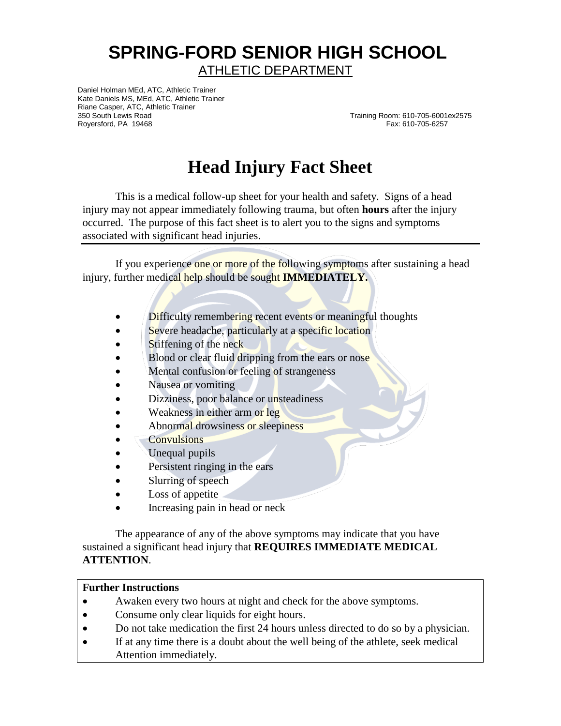## **SPRING-FORD SENIOR HIGH SCHOOL** ATHLETIC DEPARTMENT

Daniel Holman MEd, ATC, Athletic Trainer Kate Daniels MS, MEd, ATC, Athletic Trainer Riane Casper, ATC, Athletic Trainer 350 South Lewis Road Training Room: 610-705-6001ex2575<br>Roversford, PA 19468 Training Room: 610-705-6257 Royersford, PA 19468

## **Head Injury Fact Sheet**

This is a medical follow-up sheet for your health and safety. Signs of a head injury may not appear immediately following trauma, but often **hours** after the injury occurred. The purpose of this fact sheet is to alert you to the signs and symptoms associated with significant head injuries.

If you experience one or more of the following symptoms after sustaining a head injury, further medical help should be sought **IMMEDIATELY.**

- Difficulty remembering recent events or meaningful thoughts
- Severe headache, particularly at a specific location
- Stiffening of the neck
- Blood or clear fluid dripping from the ears or nose
- Mental confusion or feeling of strangeness
- Nausea or vomiting
- Dizziness, poor balance or unsteadiness
- Weakness in either arm or leg
- Abnormal drowsiness or sleepiness
- **Convulsions**
- Unequal pupils
- Persistent ringing in the ears
- Slurring of speech
- Loss of appetite
- Increasing pain in head or neck

The appearance of any of the above symptoms may indicate that you have sustained a significant head injury that **REQUIRES IMMEDIATE MEDICAL ATTENTION**.

## **Further Instructions**

- Awaken every two hours at night and check for the above symptoms.
- Consume only clear liquids for eight hours.
- Do not take medication the first 24 hours unless directed to do so by a physician.
- If at any time there is a doubt about the well being of the athlete, seek medical Attention immediately.